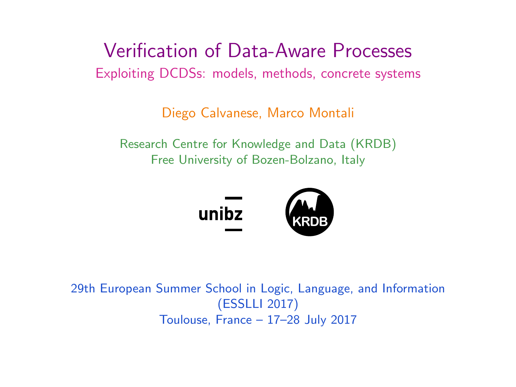### <span id="page-0-0"></span>Verification of Data-Aware Processes Exploiting DCDSs: models, methods, concrete systems

Diego Calvanese, Marco Montali

Research Centre for Knowledge and Data (KRDB) Free University of Bozen-Bolzano, Italy



29th European Summer School in Logic, Language, and Information (ESSLLI 2017) Toulouse, France – 17–28 July 2017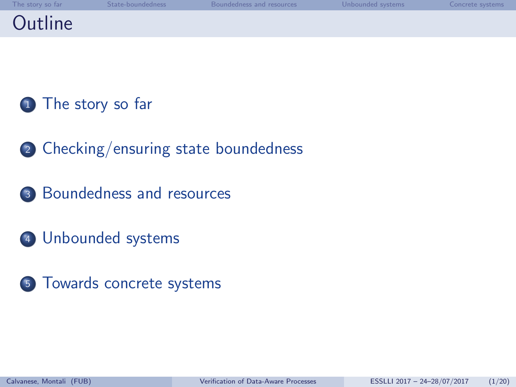# **Outline**

- [The story so far](#page-2-0)
- [Checking/ensuring state boundedness](#page-4-0)
- [Boundedness and resources](#page-9-0)
- [Unbounded systems](#page-11-0)
- [Towards concrete systems](#page-15-0)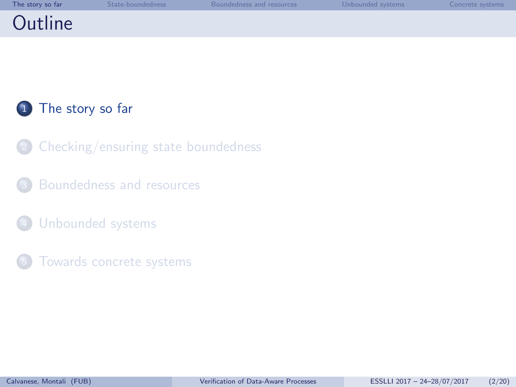<span id="page-2-0"></span>

| The story so far | State-boundedness | Boundedness and resources | Unbounded systems | Concrete systems |
|------------------|-------------------|---------------------------|-------------------|------------------|
| Outline          |                   |                           |                   |                  |

1 [The story so far](#page-2-0)

- [Checking/ensuring state boundedness](#page-4-0)
- [Boundedness and resources](#page-9-0)
- [Unbounded systems](#page-11-0)
- [Towards concrete systems](#page-15-0)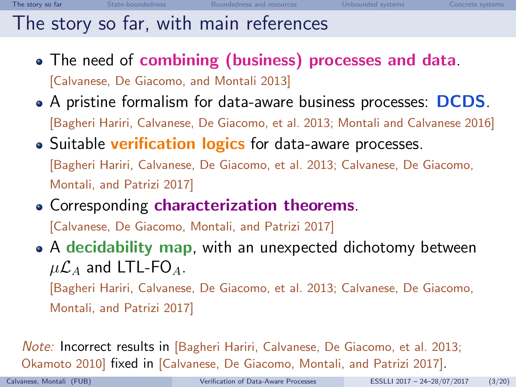# The story so far, with main references

- The need of combining (business) processes and data. [Calvanese, De Giacomo, and Montali [2013\]](#page-24-0)
- A pristine formalism for data-aware business processes: DCDS. [Bagheri Hariri, Calvanese, De Giacomo, et al. [2013;](#page-24-1) Montali and Calvanese [2016\]](#page-24-2)
- Suitable **verification logics** for data-aware processes. [Bagheri Hariri, Calvanese, De Giacomo, et al. [2013;](#page-24-1) Calvanese, De Giacomo, Montali, and Patrizi [2017\]](#page-24-3)
- Corresponding characterization theorems.

[Calvanese, De Giacomo, Montali, and Patrizi [2017\]](#page-24-3)

• A decidability map, with an unexpected dichotomy between  $\mu$  $\mathcal{L}_A$  and LTL-FO<sub>A</sub>.

[Bagheri Hariri, Calvanese, De Giacomo, et al. [2013;](#page-24-1) Calvanese, De Giacomo, Montali, and Patrizi [2017\]](#page-24-3)

Note: Incorrect results in [Bagheri Hariri, Calvanese, De Giacomo, et al. [2013;](#page-24-1) Okamoto [2010\]](#page-25-0) fixed in [Calvanese, De Giacomo, Montali, and Patrizi [2017\]](#page-24-3).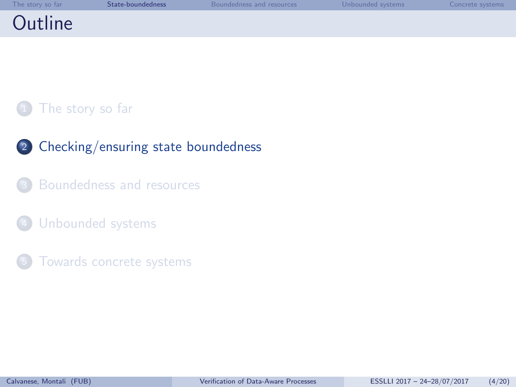<span id="page-4-0"></span>

| The story so far | State-boundedness | Boundedness and resources | Unbounded systems | Concrete systems |
|------------------|-------------------|---------------------------|-------------------|------------------|
| Outline          |                   |                           |                   |                  |

#### [The story so far](#page-2-0)

- <sup>2</sup> [Checking/ensuring state boundedness](#page-4-0)
- [Boundedness and resources](#page-9-0)
- [Unbounded systems](#page-11-0)
- [Towards concrete systems](#page-15-0)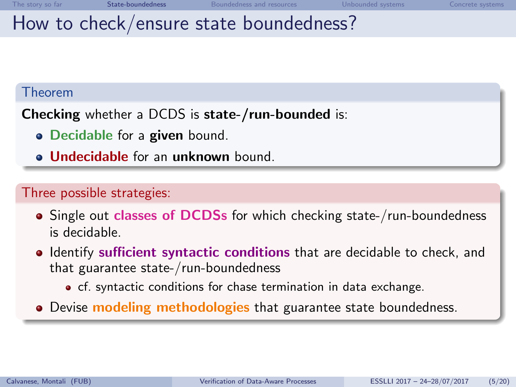# How to check/ensure state boundedness?

#### Theorem

Checking whether a DCDS is state-/run-bounded is:

- Decidable for a given bound.
- **Jundecidable for an unknown bound.**

#### Three possible strategies:

- Single out classes of DCDSs for which checking state-/run-boundedness is decidable.
- **IDENTIFY** sufficient syntactic conditions that are decidable to check, and that guarantee state-/run-boundedness
	- cf. syntactic conditions for chase termination in data exchange.
- Devise **modeling methodologies** that guarantee state boundedness.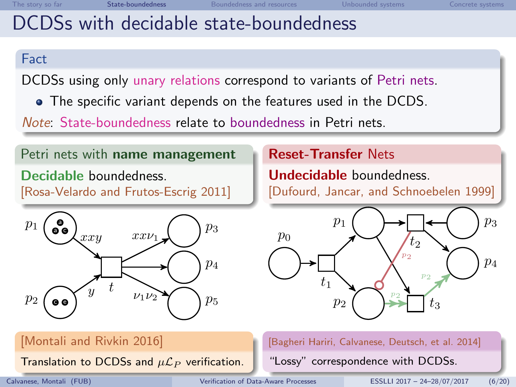# DCDSs with decidable state-boundedness

#### Fact

DCDSs using only unary relations correspond to variants of Petri nets.

The specific variant depends on the features used in the DCDS.

Note: State-boundedness relate to boundedness in Petri nets.

#### Petri nets with name management

Decidable boundedness. [Rosa-Velardo and Frutos-Escrig [2011\]](#page-25-1)



[Montali and Rivkin [2016\]](#page-25-2)

Translation to DCDSs and  $\mu\mathcal{L}_P$  verification.

Reset-Transfer Nets

Undecidable boundedness. [Dufourd, Jancar, and Schnoebelen [1999\]](#page-25-3)



[Bagheri Hariri, Calvanese, Deutsch, et al. [2014\]](#page-25-4)

"Lossy" correspondence with DCDSs.

Calvanese, Montali (FUB) [Verification of Data-Aware Processes](#page-0-0) ESSLLI 2017 – 24–28/07/2017 (6/20)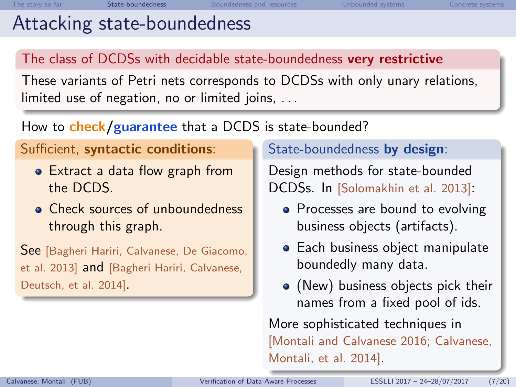# Attacking state-boundedness

### The class of DCDSs with decidable state-boundedness very restrictive

These variants of Petri nets corresponds to DCDSs with only unary relations, limited use of negation, no or limited joins, ...

### How to **check/guarantee** that a DCDS is state-bounded?

#### Sufficient, syntactic conditions:

- Extract a data flow graph from the DCDS.
- **Check sources of unboundedness** through this graph.

See [Bagheri Hariri, Calvanese, De Giacomo, et al. [2013\]](#page-24-1) and [Bagheri Hariri, Calvanese, Deutsch, et al. [2014\]](#page-25-4).

#### State-boundedness by design:

Design methods for state-bounded DCDSs. In [Solomakhin et al. [2013\]](#page-26-0):

- Processes are bound to evolving business objects (artifacts).
- **Each business object manipulate** boundedly many data.
- (New) business objects pick their names from a fixed pool of ids.

More sophisticated techniques in [Montali and Calvanese [2016;](#page-24-2) Calvanese, Montali, et al. [2014\]](#page-26-1).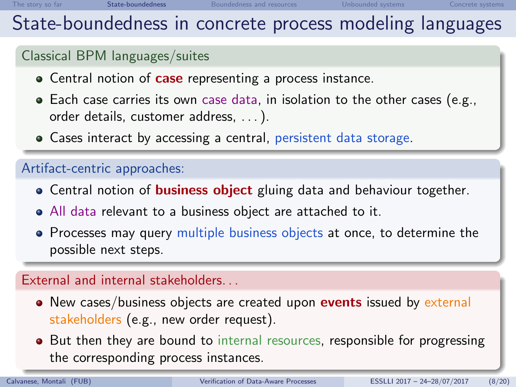### State-boundedness in concrete process modeling languages

#### Classical BPM languages/suites

- Central notion of **case** representing a process instance.
- $\bullet$  Each case carries its own case data, in isolation to the other cases (e.g., order details, customer address, . . . ).
- Cases interact by accessing a central, persistent data storage.

#### Artifact-centric approaches:

- Central notion of **business object** gluing data and behaviour together.
- All data relevant to a business object are attached to it.
- Processes may query multiple business objects at once, to determine the possible next steps.

#### External and internal stakeholders. . .

- New cases/business objects are created upon **events** issued by external stakeholders (e.g., new order request).
- But then they are bound to internal resources, responsible for progressing the corresponding process instances.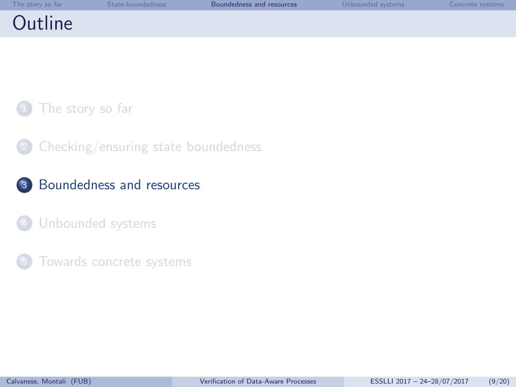<span id="page-9-0"></span>

| The story so far | State-boundedness | Boundedness and resources | Unbounded systems | Concrete systems |
|------------------|-------------------|---------------------------|-------------------|------------------|
| Outline          |                   |                           |                   |                  |

[The story so far](#page-2-0)

[Checking/ensuring state boundedness](#page-4-0)

<sup>3</sup> [Boundedness and resources](#page-9-0)

[Unbounded systems](#page-11-0)

[Towards concrete systems](#page-15-0)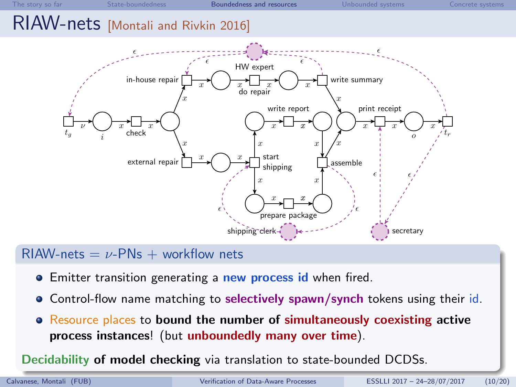### RIAW-nets [Montali and Rivkin [2016\]](#page-25-2)



#### $RIAW-nets = \nu-PNs + workflow$  nets

- **•** Emitter transition generating a **new process id** when fired.
- Control-flow name matching to selectively spawn/synch tokens using their id.
- Resource places to bound the number of simultaneously coexisting active process instances! (but unboundedly many over time).

Decidability of model checking via translation to state-bounded DCDSs.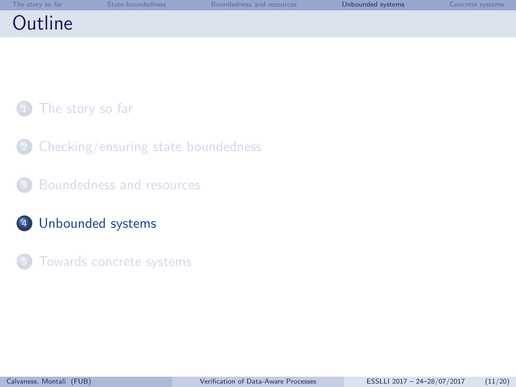<span id="page-11-0"></span>

| The story so far | State-boundedness | Boundedness and resources | Unbounded systems | Concrete systems |
|------------------|-------------------|---------------------------|-------------------|------------------|
| Outline          |                   |                           |                   |                  |

[The story so far](#page-2-0)

[Checking/ensuring state boundedness](#page-4-0)

[Boundedness and resources](#page-9-0)

<sup>4</sup> [Unbounded systems](#page-11-0)

[Towards concrete systems](#page-15-0)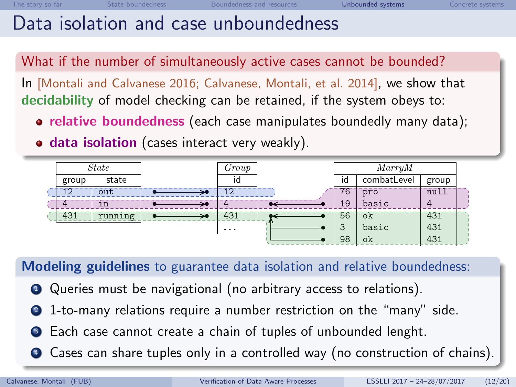### Data isolation and case unboundedness

What if the number of simultaneously active cases cannot be bounded?

In [Montali and Calvanese [2016;](#page-24-2) Calvanese, Montali, et al. [2014\]](#page-26-1), we show that decidability of model checking can be retained, if the system obeys to:

- relative boundedness (each case manipulates boundedly many data);
- **o data isolation** (cases interact very weakly).



Modeling guidelines to guarantee data isolation and relative boundedness:

- <sup>1</sup> Queries must be navigational (no arbitrary access to relations).
- <sup>2</sup> 1-to-many relations require a number restriction on the "many" side.
- **3** Each case cannot create a chain of tuples of unbounded lenght.
- <sup>4</sup> Cases can share tuples only in a controlled way (no construction of chains).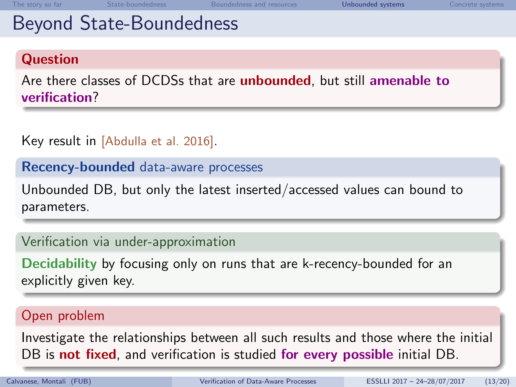### Beyond State-Boundedness

#### **Question**

Are there classes of DCDSs that are *unbounded*, but still amenable to verification?

#### Key result in [Abdulla et al. [2016\]](#page-26-2).

Recency-bounded data-aware processes

Unbounded DB, but only the latest inserted/accessed values can bound to parameters.

#### Verification via under-approximation

Decidability by focusing only on runs that are k-recency-bounded for an explicitly given key.

#### Open problem

Investigate the relationships between all such results and those where the initial DB is not fixed, and verification is studied for every possible initial DB.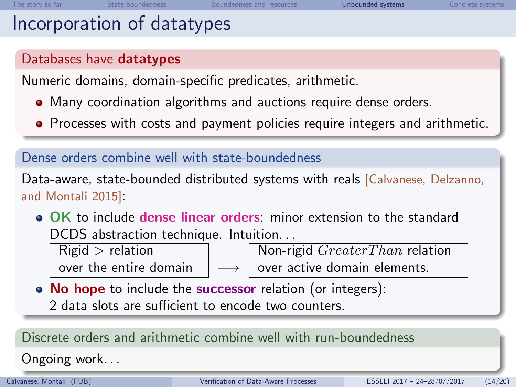### Incorporation of datatypes

#### Databases have datatypes

Numeric domains, domain-specific predicates, arithmetic.

- Many coordination algorithms and auctions require dense orders.
- Processes with costs and payment policies require integers and arithmetic.

#### Dense orders combine well with state-boundedness

Data-aware, state-bounded distributed systems with reals [Calvanese, Delzanno, and Montali [2015\]](#page-26-3):

OK to include dense linear orders: minor extension to the standard DCDS abstraction technique. Intuition. . .

 $Rigid >$  relation  $\Box$  Non-rigid  $Greater Than$  relation

over the entire domain  $\rightarrow$   $\rightarrow$  over active domain elements.

• No hope to include the successor relation (or integers): 2 data slots are sufficient to encode two counters.

### Discrete orders and arithmetic combine well with run-boundedness Ongoing work. . .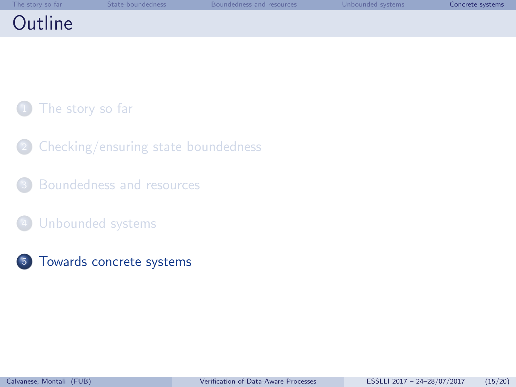<span id="page-15-0"></span>

| The story so far | State-boundedness | Boundedness and resources | Unbounded systems | Concrete systems |
|------------------|-------------------|---------------------------|-------------------|------------------|
| Outline          |                   |                           |                   |                  |

[The story so far](#page-2-0)

- [Checking/ensuring state boundedness](#page-4-0)
- [Boundedness and resources](#page-9-0)
- [Unbounded systems](#page-11-0)
- <sup>5</sup> [Towards concrete systems](#page-15-0)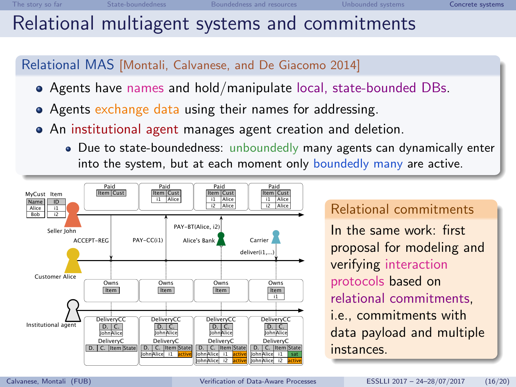### Relational multiagent systems and commitments

#### Relational MAS [Montali, Calvanese, and De Giacomo [2014\]](#page-27-0)

- Agents have names and hold/manipulate local, state-bounded DBs.
- Agents exchange data using their names for addressing.
- An institutional agent manages agent creation and deletion.
	- Due to state-boundedness: unboundedly many agents can dynamically enter into the system, but at each moment only boundedly many are active.



#### Relational commitments

In the same work: first proposal for modeling and verifying interaction protocols based on relational commitments, i.e., commitments with data payload and multiple instances.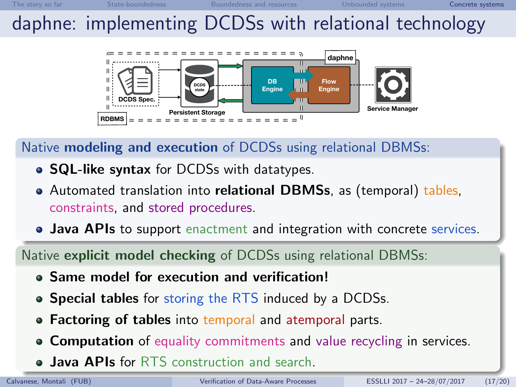# daphne: implementing DCDSs with relational technology



#### Native modeling and execution of DCDSs using relational DBMSs:

- SQL-like syntax for DCDSs with datatypes.
- Automated translation into relational DBMSs, as (temporal) tables, constraints, and stored procedures.
- Java APIs to support enactment and integration with concrete services.

Native explicit model checking of DCDSs using relational DBMSs:

- Same model for execution and verification!
- Special tables for storing the RTS induced by a DCDSs.
- Factoring of tables into temporal and atemporal parts.
- **Computation** of equality commitments and value recycling in services.
- **Java APIs for RTS** construction and search.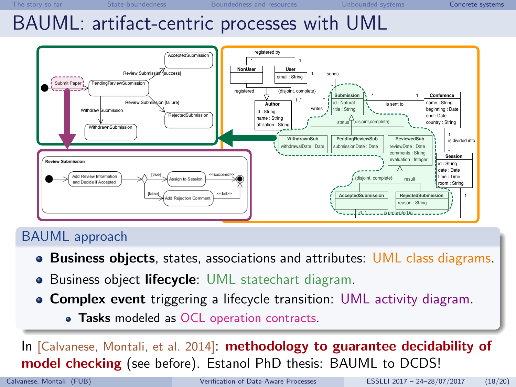#### BAUML: artifact-centric processes with UML  $D$ AUML. and inact-centric processes w



#### **BAUML approach is accepted or re-dependent failure**

- Business objects, states, associations and attributes: UML class diagrams. the transitions in the state machine diagram correspond to
- · Business object lifecycle: UML statechart diagram. **5 RELATED WORK**
- Complex event triggering a lifecycle transition: UML activity diagram. **Complex event** triggering a lifecycle transition: UML activity diagram.
- Tasks modeled as OCL operation contracts. be refined by means of an activity diagram. In particular, we the paper is accepted, it is assigned to a certain session and

*sion*.

s.id=subId **and** s.conference.name=conf)

WithdrawnSubmission **odel checking** (see before). Estanol PhD thesis: BAUML to D' [Calvanese, Montali, et al. 2014]: methodology to guarantee decidability of will show the details of *Submit Paper* and *Review Submission* the activity diagram finishes in *success*. It corresponds to the In [Calvanese, Montali, et al. [2014\]](#page-26-1): methodology to guarantee decidability of model checking (see before). Estanol PhD thesis: BAUML to DCDS! This work has been particle by the Ministerior supported by the Ministerior supported by the Ministerior supported by the Ministerior supported by the Ministerior supported by the Ministerior supported by the Ministerior

**References**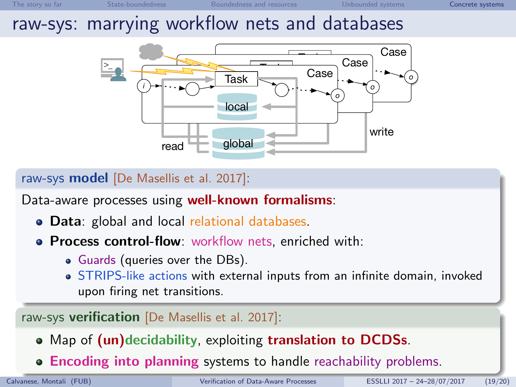### raw-sys: marrying workflow nets and databases



raw-sys model [De Masellis et al. [2017\]](#page-27-1):

Data-aware processes using well-known formalisms:

- **Data**: global and local relational databases.
- **Process control-flow**: workflow nets, enriched with:
	- Guards (queries over the DBs).
	- STRIPS-like actions with external inputs from an infinite domain, invoked upon firing net transitions.

raw-sys verification [De Masellis et al. [2017\]](#page-27-1):

- Map of (un)decidability, exploiting translation to DCDSs.
- **Encoding into planning systems to handle reachability problems.**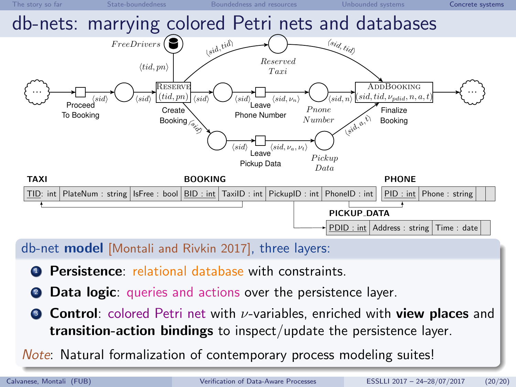

db-net model [Montali and Rivkin [2017\]](#page-27-2), three layers:

- **4** Persistence: relational database with constraints.
- **Data logic:** queries and actions over the persistence layer.
- **Control:** colored Petri net with  $\nu$ -variables, enriched with **view places** and transition-action bindings to inspect/update the persistence layer.

Note: Natural formalization of contemporary process modeling suites!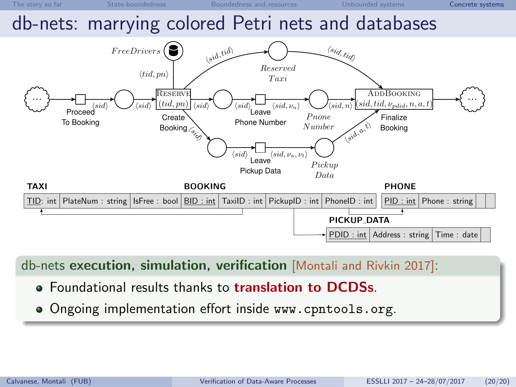

db-nets execution, simulation, verification [Montali and Rivkin [2017\]](#page-27-2):

- **Foundational results thanks to translation to DCDSs.**
- Ongoing implementation effort inside <www.cpntools.org>.

PDID : int Address : string Time : date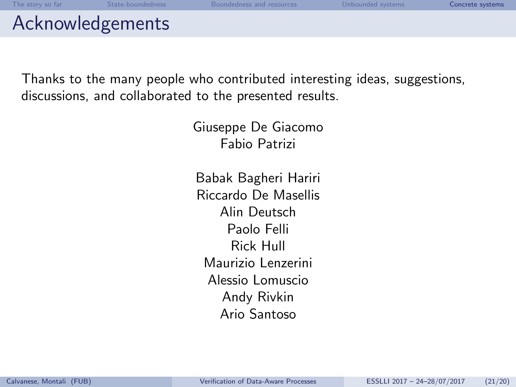### Acknowledgements

Thanks to the many people who contributed interesting ideas, suggestions, discussions, and collaborated to the presented results.

> Giuseppe De Giacomo Fabio Patrizi

Babak Bagheri Hariri Riccardo De Masellis Alin Deutsch Paolo Felli Rick Hull Maurizio Lenzerini Alessio Lomuscio Andy Rivkin Ario Santoso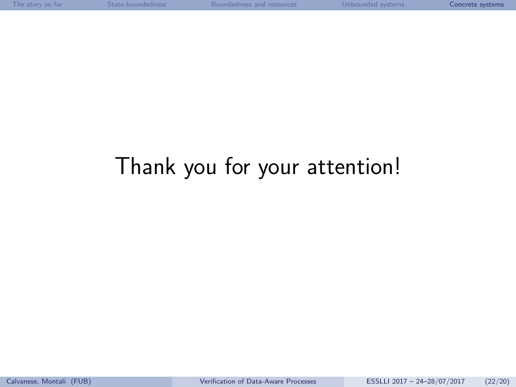# Thank you for your attention!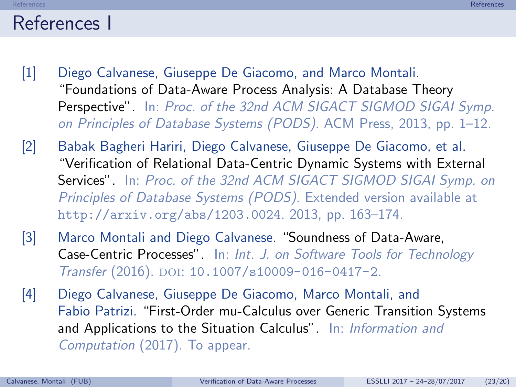### <span id="page-24-4"></span>References I

- <span id="page-24-0"></span>[1] Diego Calvanese, Giuseppe De Giacomo, and Marco Montali. "Foundations of Data-Aware Process Analysis: A Database Theory Perspective". In: Proc. of the 32nd ACM SIGACT SIGMOD SIGAI Svmp. on Principles of Database Systems (PODS). ACM Press, 2013, pp. 1–12.
- <span id="page-24-1"></span>[2] Babak Bagheri Hariri, Diego Calvanese, Giuseppe De Giacomo, et al. "Verification of Relational Data-Centric Dynamic Systems with External Services". In: Proc. of the 32nd ACM SIGACT SIGMOD SIGAI Symp. on Principles of Database Systems (PODS). Extended version available at <http://arxiv.org/abs/1203.0024>. 2013, pp. 163–174.
- <span id="page-24-2"></span>[3] Marco Montali and Diego Calvanese. "Soundness of Data-Aware, Case-Centric Processes". In: Int. J. on Software Tools for Technology Transfer (2016). DOI: [10.1007/s10009-016-0417-2](http://dx.doi.org/10.1007/s10009-016-0417-2).
- <span id="page-24-3"></span>[4] Diego Calvanese, Giuseppe De Giacomo, Marco Montali, and Fabio Patrizi. "First-Order mu-Calculus over Generic Transition Systems and Applications to the Situation Calculus". In: Information and Computation (2017). To appear.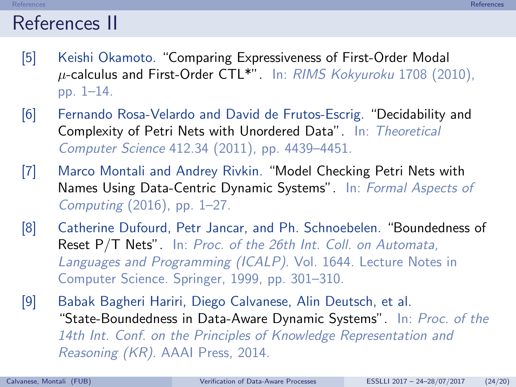### References II

- <span id="page-25-0"></span>[5] Keishi Okamoto. "Comparing Expressiveness of First-Order Modal  $\mu$ -calculus and First-Order CTL\*". In: RIMS Kokyuroku 1708 (2010), pp. 1–14.
- <span id="page-25-1"></span>[6] Fernando Rosa-Velardo and David de Frutos-Escrig. "Decidability and Complexity of Petri Nets with Unordered Data". In: Theoretical Computer Science 412.34 (2011), pp. 4439–4451.
- <span id="page-25-2"></span>[7] Marco Montali and Andrey Rivkin. "Model Checking Petri Nets with Names Using Data-Centric Dynamic Systems". In: Formal Aspects of Computing (2016), pp. 1–27.
- <span id="page-25-3"></span>[8] Catherine Dufourd, Petr Jancar, and Ph. Schnoebelen. "Boundedness of Reset P/T Nets". In: Proc. of the 26th Int. Coll. on Automata, Languages and Programming (ICALP). Vol. 1644. Lecture Notes in Computer Science. Springer, 1999, pp. 301–310.
- <span id="page-25-4"></span>[9] Babak Bagheri Hariri, Diego Calvanese, Alin Deutsch, et al. "State-Boundedness in Data-Aware Dynamic Systems". In: Proc. of the 14th Int. Conf. on the Principles of Knowledge Representation and Reasoning (KR). AAAI Press, 2014.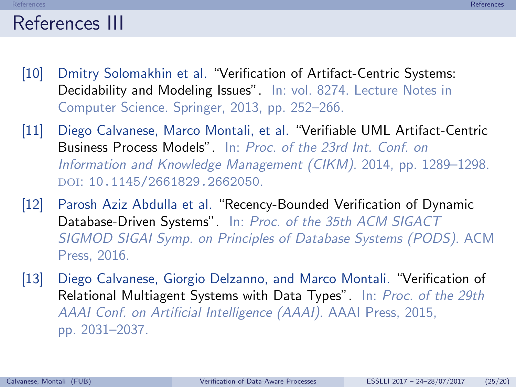### References III

- <span id="page-26-0"></span>[10] Dmitry Solomakhin et al. "Verification of Artifact-Centric Systems: Decidability and Modeling Issues". In: vol. 8274. Lecture Notes in Computer Science. Springer, 2013, pp. 252–266.
- <span id="page-26-1"></span>[11] Diego Calvanese, Marco Montali, et al. "Verifiable UML Artifact-Centric Business Process Models". In: Proc. of the 23rd Int. Conf. on Information and Knowledge Management (CIKM). 2014, pp. 1289–1298. doi: [10.1145/2661829.2662050](http://dx.doi.org/10.1145/2661829.2662050).
- <span id="page-26-2"></span>[12] Parosh Aziz Abdulla et al. "Recency-Bounded Verification of Dynamic Database-Driven Systems". In: Proc. of the 35th ACM SIGACT SIGMOD SIGAI Symp. on Principles of Database Systems (PODS). ACM Press, 2016.
- <span id="page-26-3"></span>[13] Diego Calvanese, Giorgio Delzanno, and Marco Montali. "Verification of Relational Multiagent Systems with Data Types". In: Proc. of the 29th AAAI Conf. on Artificial Intelligence (AAAI). AAAI Press, 2015, pp. 2031–2037.